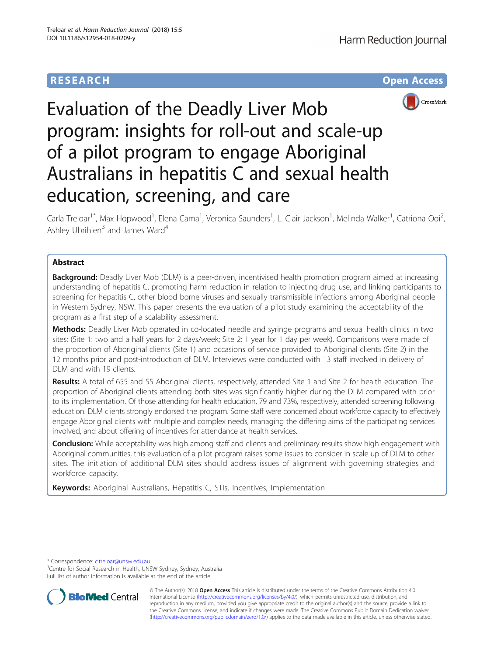## **RESEARCH CHE Open Access**



# Evaluation of the Deadly Liver Mob program: insights for roll-out and scale-up of a pilot program to engage Aboriginal Australians in hepatitis C and sexual health education, screening, and care

Carla Treloar<sup>1\*</sup>, Max Hopwood<sup>1</sup>, Elena Cama<sup>1</sup>, Veronica Saunders<sup>1</sup>, L. Clair Jackson<sup>1</sup>, Melinda Walker<sup>1</sup>, Catriona Ooi<sup>2</sup> , Ashley Ubrihien<sup>3</sup> and James Ward<sup>4</sup>

## Abstract

**Background:** Deadly Liver Mob (DLM) is a peer-driven, incentivised health promotion program aimed at increasing understanding of hepatitis C, promoting harm reduction in relation to injecting drug use, and linking participants to screening for hepatitis C, other blood borne viruses and sexually transmissible infections among Aboriginal people in Western Sydney, NSW. This paper presents the evaluation of a pilot study examining the acceptability of the program as a first step of a scalability assessment.

Methods: Deadly Liver Mob operated in co-located needle and syringe programs and sexual health clinics in two sites: (Site 1: two and a half years for 2 days/week; Site 2: 1 year for 1 day per week). Comparisons were made of the proportion of Aboriginal clients (Site 1) and occasions of service provided to Aboriginal clients (Site 2) in the 12 months prior and post-introduction of DLM. Interviews were conducted with 13 staff involved in delivery of DLM and with 19 clients.

Results: A total of 655 and 55 Aboriginal clients, respectively, attended Site 1 and Site 2 for health education. The proportion of Aboriginal clients attending both sites was significantly higher during the DLM compared with prior to its implementation. Of those attending for health education, 79 and 73%, respectively, attended screening following education. DLM clients strongly endorsed the program. Some staff were concerned about workforce capacity to effectively engage Aboriginal clients with multiple and complex needs, managing the differing aims of the participating services involved, and about offering of incentives for attendance at health services.

Conclusion: While acceptability was high among staff and clients and preliminary results show high engagement with Aboriginal communities, this evaluation of a pilot program raises some issues to consider in scale up of DLM to other sites. The initiation of additional DLM sites should address issues of alignment with governing strategies and workforce capacity.

Keywords: Aboriginal Australians, Hepatitis C, STIs, Incentives, Implementation

\* Correspondence: [c.treloar@unsw.edu.au](mailto:c.treloar@unsw.edu.au) <sup>1</sup>

<sup>1</sup> Centre for Social Research in Health, UNSW Sydney, Sydney, Australia Full list of author information is available at the end of the article



© The Author(s). 2018 Open Access This article is distributed under the terms of the Creative Commons Attribution 4.0 International License [\(http://creativecommons.org/licenses/by/4.0/](http://creativecommons.org/licenses/by/4.0/)), which permits unrestricted use, distribution, and reproduction in any medium, provided you give appropriate credit to the original author(s) and the source, provide a link to the Creative Commons license, and indicate if changes were made. The Creative Commons Public Domain Dedication waiver [\(http://creativecommons.org/publicdomain/zero/1.0/](http://creativecommons.org/publicdomain/zero/1.0/)) applies to the data made available in this article, unless otherwise stated.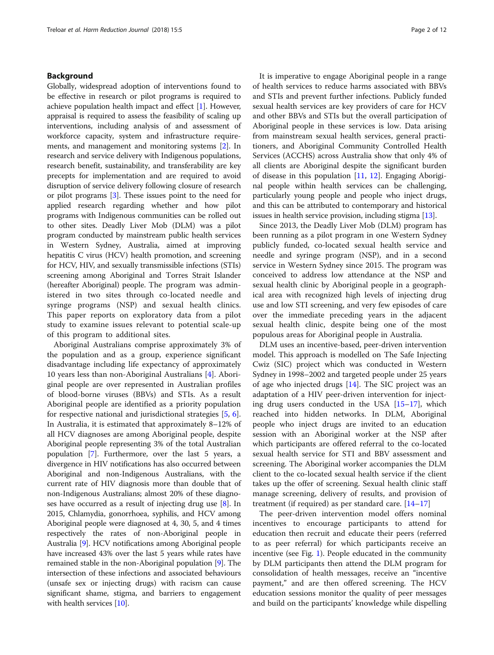## Background

Globally, widespread adoption of interventions found to be effective in research or pilot programs is required to achieve population health impact and effect [\[1\]](#page-10-0). However, appraisal is required to assess the feasibility of scaling up interventions, including analysis of and assessment of workforce capacity, system and infrastructure requirements, and management and monitoring systems [\[2\]](#page-10-0). In research and service delivery with Indigenous populations, research benefit, sustainability, and transferability are key precepts for implementation and are required to avoid disruption of service delivery following closure of research or pilot programs [[3](#page-10-0)]. These issues point to the need for applied research regarding whether and how pilot programs with Indigenous communities can be rolled out to other sites. Deadly Liver Mob (DLM) was a pilot program conducted by mainstream public health services in Western Sydney, Australia, aimed at improving hepatitis C virus (HCV) health promotion, and screening for HCV, HIV, and sexually transmissible infections (STIs) screening among Aboriginal and Torres Strait Islander (hereafter Aboriginal) people. The program was administered in two sites through co-located needle and syringe programs (NSP) and sexual health clinics. This paper reports on exploratory data from a pilot study to examine issues relevant to potential scale-up of this program to additional sites.

Aboriginal Australians comprise approximately 3% of the population and as a group, experience significant disadvantage including life expectancy of approximately 10 years less than non-Aboriginal Australians [\[4](#page-10-0)]. Aboriginal people are over represented in Australian profiles of blood-borne viruses (BBVs) and STIs. As a result Aboriginal people are identified as a priority population for respective national and jurisdictional strategies [\[5](#page-10-0), [6](#page-10-0)]. In Australia, it is estimated that approximately 8–12% of all HCV diagnoses are among Aboriginal people, despite Aboriginal people representing 3% of the total Australian population [\[7\]](#page-10-0). Furthermore, over the last 5 years, a divergence in HIV notifications has also occurred between Aboriginal and non-Indigenous Australians, with the current rate of HIV diagnosis more than double that of non-Indigenous Australians; almost 20% of these diagnoses have occurred as a result of injecting drug use [\[8](#page-10-0)]. In 2015, Chlamydia, gonorrhoea, syphilis, and HCV among Aboriginal people were diagnosed at 4, 30, 5, and 4 times respectively the rates of non-Aboriginal people in Australia [[9\]](#page-10-0). HCV notifications among Aboriginal people have increased 43% over the last 5 years while rates have remained stable in the non-Aboriginal population [[9\]](#page-10-0). The intersection of these infections and associated behaviours (unsafe sex or injecting drugs) with racism can cause significant shame, stigma, and barriers to engagement with health services [\[10\]](#page-10-0).

It is imperative to engage Aboriginal people in a range of health services to reduce harms associated with BBVs and STIs and prevent further infections. Publicly funded sexual health services are key providers of care for HCV and other BBVs and STIs but the overall participation of Aboriginal people in these services is low. Data arising from mainstream sexual health services, general practitioners, and Aboriginal Community Controlled Health Services (ACCHS) across Australia show that only 4% of all clients are Aboriginal despite the significant burden of disease in this population [\[11,](#page-10-0) [12\]](#page-10-0). Engaging Aboriginal people within health services can be challenging, particularly young people and people who inject drugs, and this can be attributed to contemporary and historical issues in health service provision, including stigma [\[13\]](#page-10-0).

Since 2013, the Deadly Liver Mob (DLM) program has been running as a pilot program in one Western Sydney publicly funded, co-located sexual health service and needle and syringe program (NSP), and in a second service in Western Sydney since 2015. The program was conceived to address low attendance at the NSP and sexual health clinic by Aboriginal people in a geographical area with recognized high levels of injecting drug use and low STI screening, and very few episodes of care over the immediate preceding years in the adjacent sexual health clinic, despite being one of the most populous areas for Aboriginal people in Australia.

DLM uses an incentive-based, peer-driven intervention model. This approach is modelled on The Safe Injecting Cwiz (SIC) project which was conducted in Western Sydney in 1998–2002 and targeted people under 25 years of age who injected drugs  $[14]$ . The SIC project was an adaptation of a HIV peer-driven intervention for injecting drug users conducted in the USA [\[15](#page-10-0)–[17\]](#page-10-0), which reached into hidden networks. In DLM, Aboriginal people who inject drugs are invited to an education session with an Aboriginal worker at the NSP after which participants are offered referral to the co-located sexual health service for STI and BBV assessment and screening. The Aboriginal worker accompanies the DLM client to the co-located sexual health service if the client takes up the offer of screening. Sexual health clinic staff manage screening, delivery of results, and provision of treatment (if required) as per standard care.  $[14-17]$  $[14-17]$  $[14-17]$  $[14-17]$  $[14-17]$ 

The peer-driven intervention model offers nominal incentives to encourage participants to attend for education then recruit and educate their peers (referred to as peer referral) for which participants receive an incentive (see Fig. [1](#page-2-0)). People educated in the community by DLM participants then attend the DLM program for consolidation of health messages, receive an "incentive payment," and are then offered screening. The HCV education sessions monitor the quality of peer messages and build on the participants' knowledge while dispelling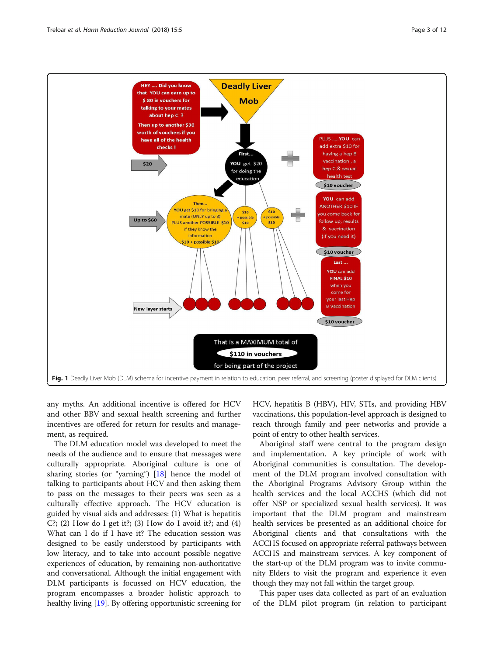<span id="page-2-0"></span>

any myths. An additional incentive is offered for HCV and other BBV and sexual health screening and further incentives are offered for return for results and management, as required.

The DLM education model was developed to meet the needs of the audience and to ensure that messages were culturally appropriate. Aboriginal culture is one of sharing stories (or "yarning") [\[18](#page-10-0)] hence the model of talking to participants about HCV and then asking them to pass on the messages to their peers was seen as a culturally effective approach. The HCV education is guided by visual aids and addresses: (1) What is hepatitis  $C$ ?; (2) How do I get it?; (3) How do I avoid it?; and (4) What can I do if I have it? The education session was designed to be easily understood by participants with low literacy, and to take into account possible negative experiences of education, by remaining non-authoritative and conversational. Although the initial engagement with DLM participants is focussed on HCV education, the program encompasses a broader holistic approach to healthy living [[19](#page-10-0)]. By offering opportunistic screening for HCV, hepatitis B (HBV), HIV, STIs, and providing HBV vaccinations, this population-level approach is designed to reach through family and peer networks and provide a point of entry to other health services.

Aboriginal staff were central to the program design and implementation. A key principle of work with Aboriginal communities is consultation. The development of the DLM program involved consultation with the Aboriginal Programs Advisory Group within the health services and the local ACCHS (which did not offer NSP or specialized sexual health services). It was important that the DLM program and mainstream health services be presented as an additional choice for Aboriginal clients and that consultations with the ACCHS focused on appropriate referral pathways between ACCHS and mainstream services. A key component of the start-up of the DLM program was to invite community Elders to visit the program and experience it even though they may not fall within the target group.

This paper uses data collected as part of an evaluation of the DLM pilot program (in relation to participant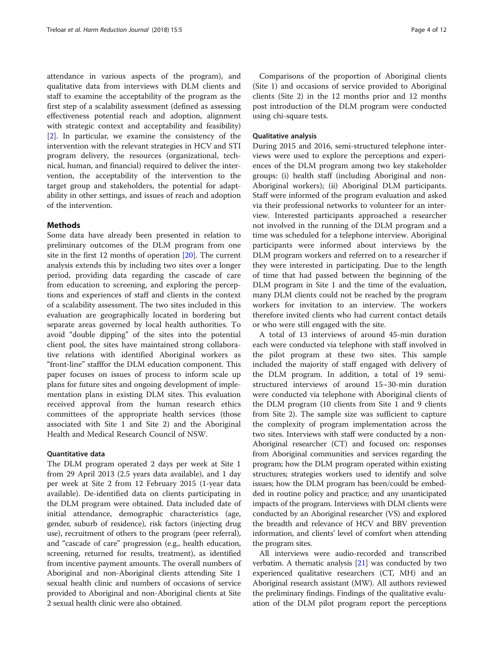attendance in various aspects of the program), and qualitative data from interviews with DLM clients and staff to examine the acceptability of the program as the first step of a scalability assessment (defined as assessing effectiveness potential reach and adoption, alignment with strategic context and acceptability and feasibility) [[2\]](#page-10-0). In particular, we examine the consistency of the intervention with the relevant strategies in HCV and STI program delivery, the resources (organizational, technical, human, and financial) required to deliver the intervention, the acceptability of the intervention to the target group and stakeholders, the potential for adaptability in other settings, and issues of reach and adoption of the intervention.

## **Methods**

Some data have already been presented in relation to preliminary outcomes of the DLM program from one site in the first 12 months of operation [[20\]](#page-10-0). The current analysis extends this by including two sites over a longer period, providing data regarding the cascade of care from education to screening, and exploring the perceptions and experiences of staff and clients in the context of a scalability assessment. The two sites included in this evaluation are geographically located in bordering but separate areas governed by local health authorities. To avoid "double dipping" of the sites into the potential client pool, the sites have maintained strong collaborative relations with identified Aboriginal workers as "front-line" stafffor the DLM education component. This paper focuses on issues of process to inform scale up plans for future sites and ongoing development of implementation plans in existing DLM sites. This evaluation received approval from the human research ethics committees of the appropriate health services (those associated with Site 1 and Site 2) and the Aboriginal Health and Medical Research Council of NSW.

#### Quantitative data

The DLM program operated 2 days per week at Site 1 from 29 April 2013 (2.5 years data available), and 1 day per week at Site 2 from 12 February 2015 (1-year data available). De-identified data on clients participating in the DLM program were obtained. Data included date of initial attendance, demographic characteristics (age, gender, suburb of residence), risk factors (injecting drug use), recruitment of others to the program (peer referral), and "cascade of care" progression (e.g., health education, screening, returned for results, treatment), as identified from incentive payment amounts. The overall numbers of Aboriginal and non-Aboriginal clients attending Site 1 sexual health clinic and numbers of occasions of service provided to Aboriginal and non-Aboriginal clients at Site 2 sexual health clinic were also obtained.

Comparisons of the proportion of Aboriginal clients (Site 1) and occasions of service provided to Aboriginal clients (Site 2) in the 12 months prior and 12 months post introduction of the DLM program were conducted using chi-square tests.

#### Qualitative analysis

During 2015 and 2016, semi-structured telephone interviews were used to explore the perceptions and experiences of the DLM program among two key stakeholder groups: (i) health staff (including Aboriginal and non-Aboriginal workers); (ii) Aboriginal DLM participants. Staff were informed of the program evaluation and asked via their professional networks to volunteer for an interview. Interested participants approached a researcher not involved in the running of the DLM program and a time was scheduled for a telephone interview. Aboriginal participants were informed about interviews by the DLM program workers and referred on to a researcher if they were interested in participating. Due to the length of time that had passed between the beginning of the DLM program in Site 1 and the time of the evaluation, many DLM clients could not be reached by the program workers for invitation to an interview. The workers therefore invited clients who had current contact details or who were still engaged with the site.

A total of 13 interviews of around 45-min duration each were conducted via telephone with staff involved in the pilot program at these two sites. This sample included the majority of staff engaged with delivery of the DLM program. In addition, a total of 19 semistructured interviews of around 15–30-min duration were conducted via telephone with Aboriginal clients of the DLM program (10 clients from Site 1 and 9 clients from Site 2). The sample size was sufficient to capture the complexity of program implementation across the two sites. Interviews with staff were conducted by a non-Aboriginal researcher (CT) and focused on: responses from Aboriginal communities and services regarding the program; how the DLM program operated within existing structures; strategies workers used to identify and solve issues; how the DLM program has been/could be embedded in routine policy and practice; and any unanticipated impacts of the program. Interviews with DLM clients were conducted by an Aboriginal researcher (VS) and explored the breadth and relevance of HCV and BBV prevention information, and clients' level of comfort when attending the program sites.

All interviews were audio-recorded and transcribed verbatim. A thematic analysis [\[21\]](#page-10-0) was conducted by two experienced qualitative researchers (CT, MH) and an Aboriginal research assistant (MW). All authors reviewed the preliminary findings. Findings of the qualitative evaluation of the DLM pilot program report the perceptions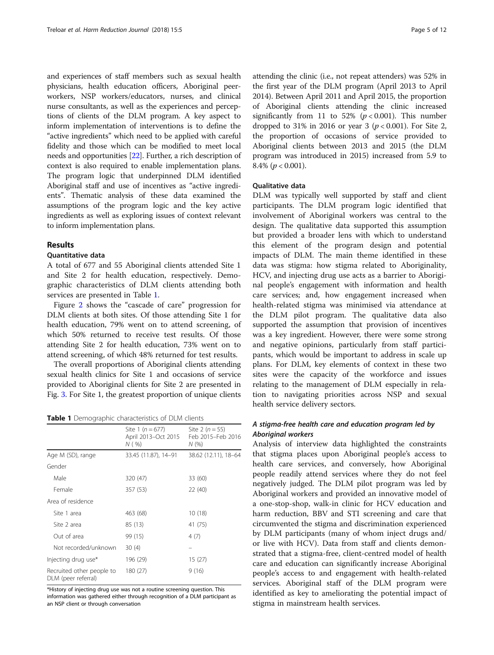and experiences of staff members such as sexual health physicians, health education officers, Aboriginal peerworkers, NSP workers/educators, nurses, and clinical nurse consultants, as well as the experiences and perceptions of clients of the DLM program. A key aspect to inform implementation of interventions is to define the "active ingredients" which need to be applied with careful fidelity and those which can be modified to meet local needs and opportunities [[22](#page-11-0)]. Further, a rich description of context is also required to enable implementation plans. The program logic that underpinned DLM identified Aboriginal staff and use of incentives as "active ingredients". Thematic analysis of these data examined the assumptions of the program logic and the key active ingredients as well as exploring issues of context relevant to inform implementation plans.

#### Results

#### Quantitative data

A total of 677 and 55 Aboriginal clients attended Site 1 and Site 2 for health education, respectively. Demographic characteristics of DLM clients attending both services are presented in Table 1.

Figure [2](#page-5-0) shows the "cascade of care" progression for DLM clients at both sites. Of those attending Site 1 for health education, 79% went on to attend screening, of which 50% returned to receive test results. Of those attending Site 2 for health education, 73% went on to attend screening, of which 48% returned for test results.

The overall proportions of Aboriginal clients attending sexual health clinics for Site 1 and occasions of service provided to Aboriginal clients for Site 2 are presented in Fig. [3.](#page-5-0) For Site 1, the greatest proportion of unique clients

Table 1 Demographic characteristics of DLM clients

|                                                  | Site 1 ( $n = 677$ )<br>April 2013-Oct 2015<br>N ( %) | Site 2 ( $n = 55$ )<br>Feb 2015-Feb 2016<br>N(% ) |
|--------------------------------------------------|-------------------------------------------------------|---------------------------------------------------|
| Age M (SD), range                                | 33.45 (11.87), 14-91                                  | 38.62 (12.11), 18-64                              |
| Gender                                           |                                                       |                                                   |
| Male                                             | 320 (47)                                              | 33 (60)                                           |
| Female                                           | 357 (53)                                              | 22 (40)                                           |
| Area of residence                                |                                                       |                                                   |
| Site 1 area                                      | 463 (68)                                              | 10(18)                                            |
| Site 2 area                                      | 85 (13)                                               | 41 (75)                                           |
| Out of area                                      | 99 (15)                                               | 4(7)                                              |
| Not recorded/unknown                             | 30(4)                                                 |                                                   |
| Injecting drug use*                              | 196 (29)                                              | 15 (27)                                           |
| Recruited other people to<br>DLM (peer referral) | 180 (27)                                              | 9(16)                                             |

\*History of injecting drug use was not a routine screening question. This information was gathered either through recognition of a DLM participant as an NSP client or through conversation

attending the clinic (i.e., not repeat attenders) was 52% in the first year of the DLM program (April 2013 to April 2014). Between April 2011 and April 2015, the proportion of Aboriginal clients attending the clinic increased significantly from 11 to 52%  $(p < 0.001)$ . This number dropped to 31% in 2016 or year 3 ( $p < 0.001$ ). For Site 2, the proportion of occasions of service provided to Aboriginal clients between 2013 and 2015 (the DLM program was introduced in 2015) increased from 5.9 to  $8.4\%$  ( $p < 0.001$ ).

#### Qualitative data

DLM was typically well supported by staff and client participants. The DLM program logic identified that involvement of Aboriginal workers was central to the design. The qualitative data supported this assumption but provided a broader lens with which to understand this element of the program design and potential impacts of DLM. The main theme identified in these data was stigma: how stigma related to Aboriginality, HCV, and injecting drug use acts as a barrier to Aboriginal people's engagement with information and health care services; and, how engagement increased when health-related stigma was minimised via attendance at the DLM pilot program. The qualitative data also supported the assumption that provision of incentives was a key ingredient. However, there were some strong and negative opinions, particularly from staff participants, which would be important to address in scale up plans. For DLM, key elements of context in these two sites were the capacity of the workforce and issues relating to the management of DLM especially in relation to navigating priorities across NSP and sexual health service delivery sectors.

## A stigma-free health care and education program led by Aboriginal workers

Analysis of interview data highlighted the constraints that stigma places upon Aboriginal people's access to health care services, and conversely, how Aboriginal people readily attend services where they do not feel negatively judged. The DLM pilot program was led by Aboriginal workers and provided an innovative model of a one-stop-shop, walk-in clinic for HCV education and harm reduction, BBV and STI screening and care that circumvented the stigma and discrimination experienced by DLM participants (many of whom inject drugs and/ or live with HCV). Data from staff and clients demonstrated that a stigma-free, client-centred model of health care and education can significantly increase Aboriginal people's access to and engagement with health-related services. Aboriginal staff of the DLM program were identified as key to ameliorating the potential impact of stigma in mainstream health services.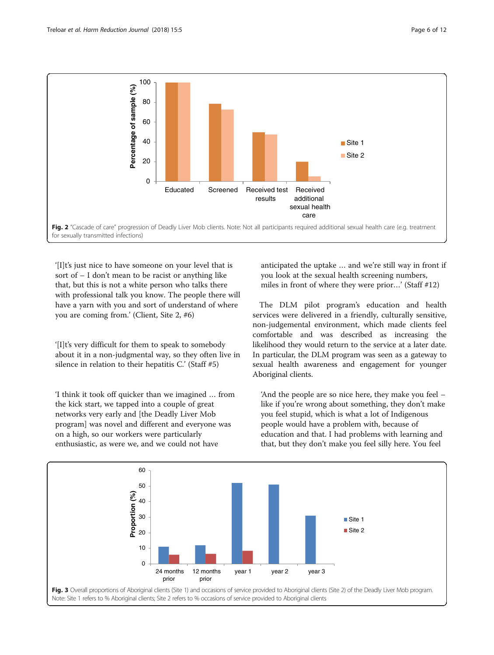<span id="page-5-0"></span>

'[I]t's just nice to have someone on your level that is sort of – I don't mean to be racist or anything like that, but this is not a white person who talks there with professional talk you know. The people there will have a yarn with you and sort of understand of where you are coming from.' (Client, Site 2, #6)

'[I]t's very difficult for them to speak to somebody about it in a non-judgmental way, so they often live in silence in relation to their hepatitis C.' (Staff #5)

'I think it took off quicker than we imagined … from the kick start, we tapped into a couple of great networks very early and [the Deadly Liver Mob program] was novel and different and everyone was on a high, so our workers were particularly enthusiastic, as were we, and we could not have

anticipated the uptake … and we're still way in front if you look at the sexual health screening numbers, miles in front of where they were prior…' (Staff #12)

The DLM pilot program's education and health services were delivered in a friendly, culturally sensitive, non-judgemental environment, which made clients feel comfortable and was described as increasing the likelihood they would return to the service at a later date. In particular, the DLM program was seen as a gateway to sexual health awareness and engagement for younger Aboriginal clients.

'And the people are so nice here, they make you feel – like if you're wrong about something, they don't make you feel stupid, which is what a lot of Indigenous people would have a problem with, because of education and that. I had problems with learning and that, but they don't make you feel silly here. You feel

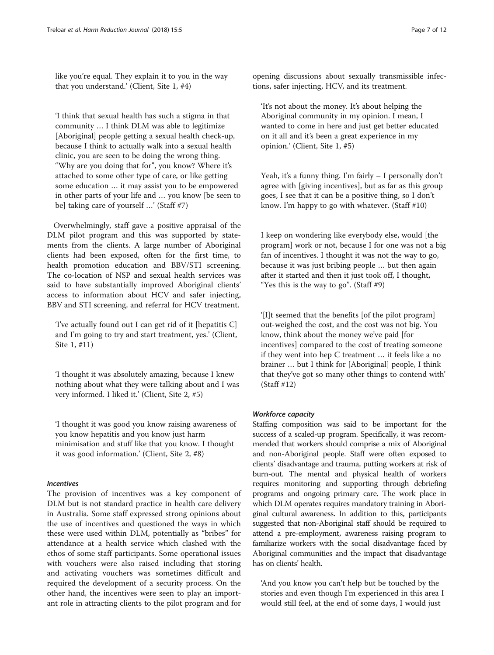like you're equal. They explain it to you in the way that you understand.' (Client, Site 1, #4)

'I think that sexual health has such a stigma in that community … I think DLM was able to legitimize [Aboriginal] people getting a sexual health check-up, because I think to actually walk into a sexual health clinic, you are seen to be doing the wrong thing. "Why are you doing that for", you know? Where it's attached to some other type of care, or like getting some education … it may assist you to be empowered in other parts of your life and … you know [be seen to be] taking care of yourself …' (Staff #7)

Overwhelmingly, staff gave a positive appraisal of the DLM pilot program and this was supported by statements from the clients. A large number of Aboriginal clients had been exposed, often for the first time, to health promotion education and BBV/STI screening. The co-location of NSP and sexual health services was said to have substantially improved Aboriginal clients' access to information about HCV and safer injecting, BBV and STI screening, and referral for HCV treatment.

'I've actually found out I can get rid of it [hepatitis C] and I'm going to try and start treatment, yes.' (Client, Site 1, #11)

'I thought it was absolutely amazing, because I knew nothing about what they were talking about and I was very informed. I liked it.' (Client, Site 2, #5)

'I thought it was good you know raising awareness of you know hepatitis and you know just harm minimisation and stuff like that you know. I thought it was good information.' (Client, Site 2, #8)

#### Incentives

The provision of incentives was a key component of DLM but is not standard practice in health care delivery in Australia. Some staff expressed strong opinions about the use of incentives and questioned the ways in which these were used within DLM, potentially as "bribes" for attendance at a health service which clashed with the ethos of some staff participants. Some operational issues with vouchers were also raised including that storing and activating vouchers was sometimes difficult and required the development of a security process. On the other hand, the incentives were seen to play an important role in attracting clients to the pilot program and for

opening discussions about sexually transmissible infections, safer injecting, HCV, and its treatment.

'It's not about the money. It's about helping the Aboriginal community in my opinion. I mean, I wanted to come in here and just get better educated on it all and it's been a great experience in my opinion.' (Client, Site 1, #5)

Yeah, it's a funny thing. I'm fairly – I personally don't agree with [giving incentives], but as far as this group goes, I see that it can be a positive thing, so I don't know. I'm happy to go with whatever. (Staff #10)

I keep on wondering like everybody else, would [the program] work or not, because I for one was not a big fan of incentives. I thought it was not the way to go, because it was just bribing people … but then again after it started and then it just took off, I thought, "Yes this is the way to go". (Staff  $#9$ )

'[I]t seemed that the benefits [of the pilot program] out-weighed the cost, and the cost was not big. You know, think about the money we've paid [for incentives] compared to the cost of treating someone if they went into hep C treatment … it feels like a no brainer … but I think for [Aboriginal] people, I think that they've got so many other things to contend with' (Staff #12)

#### Workforce capacity

Staffing composition was said to be important for the success of a scaled-up program. Specifically, it was recommended that workers should comprise a mix of Aboriginal and non-Aboriginal people. Staff were often exposed to clients' disadvantage and trauma, putting workers at risk of burn-out. The mental and physical health of workers requires monitoring and supporting through debriefing programs and ongoing primary care. The work place in which DLM operates requires mandatory training in Aboriginal cultural awareness. In addition to this, participants suggested that non-Aboriginal staff should be required to attend a pre-employment, awareness raising program to familiarize workers with the social disadvantage faced by Aboriginal communities and the impact that disadvantage has on clients' health.

'And you know you can't help but be touched by the stories and even though I'm experienced in this area I would still feel, at the end of some days, I would just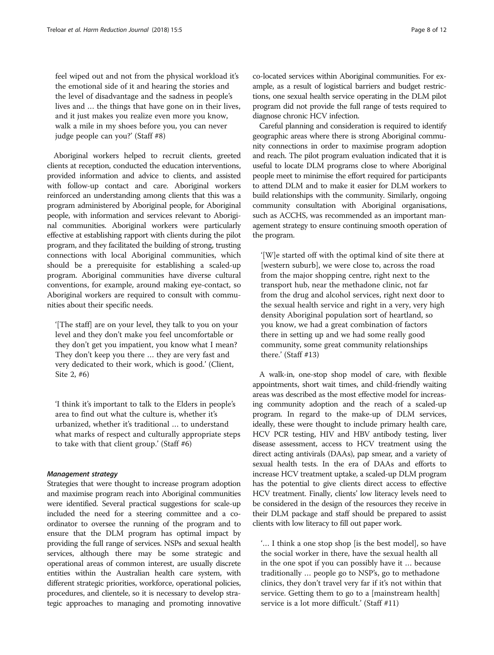feel wiped out and not from the physical workload it's the emotional side of it and hearing the stories and the level of disadvantage and the sadness in people's lives and … the things that have gone on in their lives, and it just makes you realize even more you know, walk a mile in my shoes before you, you can never judge people can you?' (Staff #8)

Aboriginal workers helped to recruit clients, greeted clients at reception, conducted the education interventions, provided information and advice to clients, and assisted with follow-up contact and care. Aboriginal workers reinforced an understanding among clients that this was a program administered by Aboriginal people, for Aboriginal people, with information and services relevant to Aboriginal communities. Aboriginal workers were particularly effective at establishing rapport with clients during the pilot program, and they facilitated the building of strong, trusting connections with local Aboriginal communities, which should be a prerequisite for establishing a scaled-up program. Aboriginal communities have diverse cultural conventions, for example, around making eye-contact, so Aboriginal workers are required to consult with communities about their specific needs.

'[The staff] are on your level, they talk to you on your level and they don't make you feel uncomfortable or they don't get you impatient, you know what I mean? They don't keep you there … they are very fast and very dedicated to their work, which is good.' (Client, Site 2, #6)

'I think it's important to talk to the Elders in people's area to find out what the culture is, whether it's urbanized, whether it's traditional … to understand what marks of respect and culturally appropriate steps to take with that client group.' (Staff #6)

#### Management strategy

Strategies that were thought to increase program adoption and maximise program reach into Aboriginal communities were identified. Several practical suggestions for scale-up included the need for a steering committee and a coordinator to oversee the running of the program and to ensure that the DLM program has optimal impact by providing the full range of services. NSPs and sexual health services, although there may be some strategic and operational areas of common interest, are usually discrete entities within the Australian health care system, with different strategic priorities, workforce, operational policies, procedures, and clientele, so it is necessary to develop strategic approaches to managing and promoting innovative co-located services within Aboriginal communities. For example, as a result of logistical barriers and budget restrictions, one sexual health service operating in the DLM pilot program did not provide the full range of tests required to diagnose chronic HCV infection.

Careful planning and consideration is required to identify geographic areas where there is strong Aboriginal community connections in order to maximise program adoption and reach. The pilot program evaluation indicated that it is useful to locate DLM programs close to where Aboriginal people meet to minimise the effort required for participants to attend DLM and to make it easier for DLM workers to build relationships with the community. Similarly, ongoing community consultation with Aboriginal organisations, such as ACCHS, was recommended as an important management strategy to ensure continuing smooth operation of the program.

'[W]e started off with the optimal kind of site there at [western suburb], we were close to, across the road from the major shopping centre, right next to the transport hub, near the methadone clinic, not far from the drug and alcohol services, right next door to the sexual health service and right in a very, very high density Aboriginal population sort of heartland, so you know, we had a great combination of factors there in setting up and we had some really good community, some great community relationships there.' (Staff #13)

A walk-in, one-stop shop model of care, with flexible appointments, short wait times, and child-friendly waiting areas was described as the most effective model for increasing community adoption and the reach of a scaled-up program. In regard to the make-up of DLM services, ideally, these were thought to include primary health care, HCV PCR testing, HIV and HBV antibody testing, liver disease assessment, access to HCV treatment using the direct acting antivirals (DAAs), pap smear, and a variety of sexual health tests. In the era of DAAs and efforts to increase HCV treatment uptake, a scaled-up DLM program has the potential to give clients direct access to effective HCV treatment. Finally, clients' low literacy levels need to be considered in the design of the resources they receive in their DLM package and staff should be prepared to assist clients with low literacy to fill out paper work.

'… I think a one stop shop [is the best model], so have the social worker in there, have the sexual health all in the one spot if you can possibly have it … because traditionally … people go to NSP's, go to methadone clinics, they don't travel very far if it's not within that service. Getting them to go to a [mainstream health] service is a lot more difficult.' (Staff #11)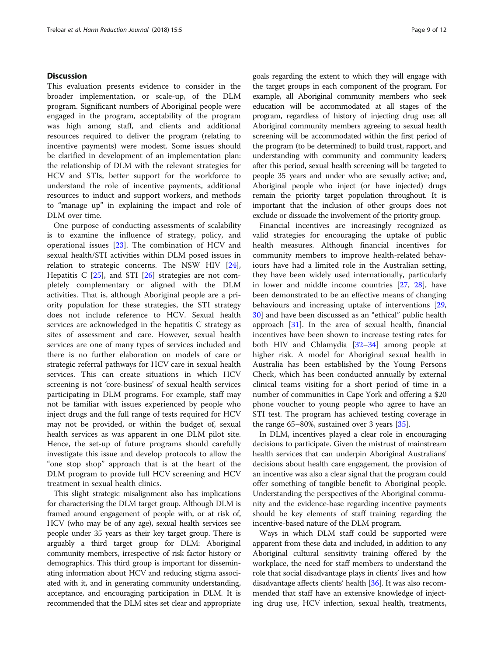### **Discussion**

This evaluation presents evidence to consider in the broader implementation, or scale-up, of the DLM program. Significant numbers of Aboriginal people were engaged in the program, acceptability of the program was high among staff, and clients and additional resources required to deliver the program (relating to incentive payments) were modest. Some issues should be clarified in development of an implementation plan: the relationship of DLM with the relevant strategies for HCV and STIs, better support for the workforce to understand the role of incentive payments, additional resources to induct and support workers, and methods to "manage up" in explaining the impact and role of DLM over time.

One purpose of conducting assessments of scalability is to examine the influence of strategy, policy, and operational issues [\[23](#page-11-0)]. The combination of HCV and sexual health/STI activities within DLM posed issues in relation to strategic concerns. The NSW HIV [\[24](#page-11-0)], Hepatitis C [\[25](#page-11-0)], and STI [\[26\]](#page-11-0) strategies are not completely complementary or aligned with the DLM activities. That is, although Aboriginal people are a priority population for these strategies, the STI strategy does not include reference to HCV. Sexual health services are acknowledged in the hepatitis C strategy as sites of assessment and care. However, sexual health services are one of many types of services included and there is no further elaboration on models of care or strategic referral pathways for HCV care in sexual health services. This can create situations in which HCV screening is not 'core-business' of sexual health services participating in DLM programs. For example, staff may not be familiar with issues experienced by people who inject drugs and the full range of tests required for HCV may not be provided, or within the budget of, sexual health services as was apparent in one DLM pilot site. Hence, the set-up of future programs should carefully investigate this issue and develop protocols to allow the "one stop shop" approach that is at the heart of the DLM program to provide full HCV screening and HCV treatment in sexual health clinics.

This slight strategic misalignment also has implications for characterising the DLM target group. Although DLM is framed around engagement of people with, or at risk of, HCV (who may be of any age), sexual health services see people under 35 years as their key target group. There is arguably a third target group for DLM: Aboriginal community members, irrespective of risk factor history or demographics. This third group is important for disseminating information about HCV and reducing stigma associated with it, and in generating community understanding, acceptance, and encouraging participation in DLM. It is recommended that the DLM sites set clear and appropriate goals regarding the extent to which they will engage with the target groups in each component of the program. For example, all Aboriginal community members who seek education will be accommodated at all stages of the program, regardless of history of injecting drug use; all Aboriginal community members agreeing to sexual health screening will be accommodated within the first period of the program (to be determined) to build trust, rapport, and understanding with community and community leaders; after this period, sexual health screening will be targeted to people 35 years and under who are sexually active; and, Aboriginal people who inject (or have injected) drugs remain the priority target population throughout. It is important that the inclusion of other groups does not exclude or dissuade the involvement of the priority group.

Financial incentives are increasingly recognized as valid strategies for encouraging the uptake of public health measures. Although financial incentives for community members to improve health-related behaviours have had a limited role in the Australian setting, they have been widely used internationally, particularly in lower and middle income countries [\[27,](#page-11-0) [28](#page-11-0)], have been demonstrated to be an effective means of changing behaviours and increasing uptake of interventions [[29](#page-11-0), [30\]](#page-11-0) and have been discussed as an "ethical" public health approach  $[31]$ . In the area of sexual health, financial incentives have been shown to increase testing rates for both HIV and Chlamydia [\[32](#page-11-0)–[34\]](#page-11-0) among people at higher risk. A model for Aboriginal sexual health in Australia has been established by the Young Persons Check, which has been conducted annually by external clinical teams visiting for a short period of time in a number of communities in Cape York and offering a \$20 phone voucher to young people who agree to have an STI test. The program has achieved testing coverage in the range 65–80%, sustained over 3 years [[35\]](#page-11-0).

In DLM, incentives played a clear role in encouraging decisions to participate. Given the mistrust of mainstream health services that can underpin Aboriginal Australians' decisions about health care engagement, the provision of an incentive was also a clear signal that the program could offer something of tangible benefit to Aboriginal people. Understanding the perspectives of the Aboriginal community and the evidence-base regarding incentive payments should be key elements of staff training regarding the incentive-based nature of the DLM program.

Ways in which DLM staff could be supported were apparent from these data and included, in addition to any Aboriginal cultural sensitivity training offered by the workplace, the need for staff members to understand the role that social disadvantage plays in clients' lives and how disadvantage affects clients' health [\[36](#page-11-0)]. It was also recommended that staff have an extensive knowledge of injecting drug use, HCV infection, sexual health, treatments,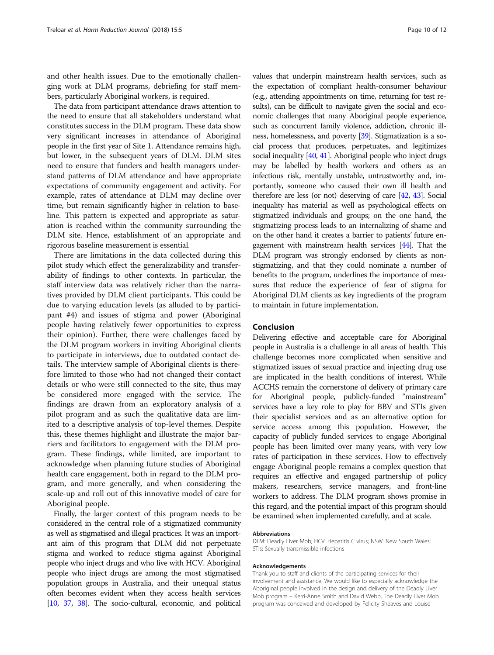and other health issues. Due to the emotionally challenging work at DLM programs, debriefing for staff members, particularly Aboriginal workers, is required.

The data from participant attendance draws attention to the need to ensure that all stakeholders understand what constitutes success in the DLM program. These data show very significant increases in attendance of Aboriginal people in the first year of Site 1. Attendance remains high, but lower, in the subsequent years of DLM. DLM sites need to ensure that funders and health managers understand patterns of DLM attendance and have appropriate expectations of community engagement and activity. For example, rates of attendance at DLM may decline over time, but remain significantly higher in relation to baseline. This pattern is expected and appropriate as saturation is reached within the community surrounding the DLM site. Hence, establishment of an appropriate and rigorous baseline measurement is essential.

There are limitations in the data collected during this pilot study which effect the generalizability and transferability of findings to other contexts. In particular, the staff interview data was relatively richer than the narratives provided by DLM client participants. This could be due to varying education levels (as alluded to by participant #4) and issues of stigma and power (Aboriginal people having relatively fewer opportunities to express their opinion). Further, there were challenges faced by the DLM program workers in inviting Aboriginal clients to participate in interviews, due to outdated contact details. The interview sample of Aboriginal clients is therefore limited to those who had not changed their contact details or who were still connected to the site, thus may be considered more engaged with the service. The findings are drawn from an exploratory analysis of a pilot program and as such the qualitative data are limited to a descriptive analysis of top-level themes. Despite this, these themes highlight and illustrate the major barriers and facilitators to engagement with the DLM program. These findings, while limited, are important to acknowledge when planning future studies of Aboriginal health care engagement, both in regard to the DLM program, and more generally, and when considering the scale-up and roll out of this innovative model of care for Aboriginal people.

Finally, the larger context of this program needs to be considered in the central role of a stigmatized community as well as stigmatised and illegal practices. It was an important aim of this program that DLM did not perpetuate stigma and worked to reduce stigma against Aboriginal people who inject drugs and who live with HCV. Aboriginal people who inject drugs are among the most stigmatised population groups in Australia, and their unequal status often becomes evident when they access health services [[10](#page-10-0), [37,](#page-11-0) [38\]](#page-11-0). The socio-cultural, economic, and political

values that underpin mainstream health services, such as the expectation of compliant health-consumer behaviour (e.g., attending appointments on time, returning for test results), can be difficult to navigate given the social and economic challenges that many Aboriginal people experience, such as concurrent family violence, addiction, chronic illness, homelessness, and poverty [\[39](#page-11-0)]. Stigmatization is a social process that produces, perpetuates, and legitimizes social inequality [\[40](#page-11-0), [41](#page-11-0)]. Aboriginal people who inject drugs may be labelled by health workers and others as an infectious risk, mentally unstable, untrustworthy and, importantly, someone who caused their own ill health and therefore are less (or not) deserving of care [\[42,](#page-11-0) [43](#page-11-0)]. Social inequality has material as well as psychological effects on stigmatized individuals and groups; on the one hand, the stigmatizing process leads to an internalizing of shame and on the other hand it creates a barrier to patients' future en-gagement with mainstream health services [\[44\]](#page-11-0). That the DLM program was strongly endorsed by clients as nonstigmatizing, and that they could nominate a number of benefits to the program, underlines the importance of measures that reduce the experience of fear of stigma for Aboriginal DLM clients as key ingredients of the program to maintain in future implementation.

#### Conclusion

Delivering effective and acceptable care for Aboriginal people in Australia is a challenge in all areas of health. This challenge becomes more complicated when sensitive and stigmatized issues of sexual practice and injecting drug use are implicated in the health conditions of interest. While ACCHS remain the cornerstone of delivery of primary care for Aboriginal people, publicly-funded "mainstream" services have a key role to play for BBV and STIs given their specialist services and as an alternative option for service access among this population. However, the capacity of publicly funded services to engage Aboriginal people has been limited over many years, with very low rates of participation in these services. How to effectively engage Aboriginal people remains a complex question that requires an effective and engaged partnership of policy makers, researchers, service managers, and front-line workers to address. The DLM program shows promise in this regard, and the potential impact of this program should be examined when implemented carefully, and at scale.

#### Abbreviations

DLM: Deadly Liver Mob; HCV: Hepatitis C virus; NSW: New South Wales; STIs: Sexually transmissible infections

#### Acknowledgements

Thank you to staff and clients of the participating services for their involvement and assistance. We would like to especially acknowledge the Aboriginal people involved in the design and delivery of the Deadly Liver Mob program – Kerri-Anne Smith and David Webb, The Deadly Liver Mob program was conceived and developed by Felicity Sheaves and Louise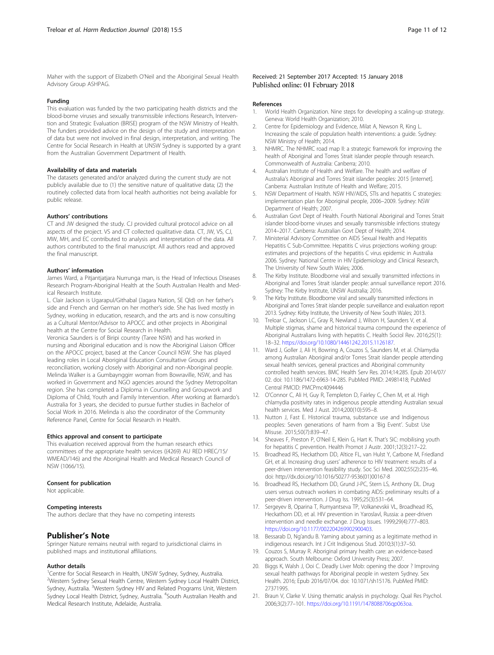<span id="page-10-0"></span>Maher with the support of Elizabeth O'Neil and the Aboriginal Sexual Health Advisory Group ASHPAG.

#### Funding

This evaluation was funded by the two participating health districts and the blood-borne viruses and sexually transmissible infections Research, Intervention and Strategic Evaluation (BRISE) program of the NSW Ministry of Health. The funders provided advice on the design of the study and interpretation of data but were not involved in final design, interpretation, and writing. The Centre for Social Research in Health at UNSW Sydney is supported by a grant from the Australian Government Department of Health.

#### Availability of data and materials

The datasets generated and/or analyzed during the current study are not publicly available due to (1) the sensitive nature of qualitative data; (2) the routinely collected data from local health authorities not being available for public release.

#### Authors' contributions

CT and JW designed the study. CJ provided cultural protocol advice on all aspects of the project. VS and CT collected qualitative data. CT, JW, VS, CJ, MW, MH, and EC contributed to analysis and interpretation of the data. All authors contributed to the final manuscript. All authors read and approved the final manuscript.

#### Authors' information

James Ward, a Pitjantjatjara Nurrunga man, is the Head of Infectious Diseases Research Program-Aboriginal Health at the South Australian Health and Medical Research Institute.

L. Clair Jackson is Ugarapul/Githabal (Jagara Nation, SE Qld) on her father's side and French and German on her mother's side. She has lived mostly in Sydney, working in education, research, and the arts and is now consulting as a Cultural Mentor/Advisor to APOCC and other projects in Aboriginal health at the Centre for Social Research in Health.

Veronica Saunders is of Biripi country (Taree NSW) and has worked in nursing and Aboriginal education and is now the Aboriginal Liaison Officer on the APOCC project, based at the Cancer Council NSW. She has played leading roles in Local Aboriginal Education Consultative Groups and reconciliation, working closely with Aboriginal and non-Aboriginal people. Melinda Walker is a Gumbaynggirr woman from Bowraville, NSW, and has worked in Government and NGO agencies around the Sydney Metropolitan region. She has completed a Diploma in Counselling and Groupwork and Diploma of Child, Youth and Family Intervention. After working at Barnardo's Australia for 3 years, she decided to pursue further studies in Bachelor of Social Work in 2016. Melinda is also the coordinator of the Community Reference Panel, Centre for Social Research in Health.

#### Ethics approval and consent to participate

This evaluation received approval from the human research ethics committees of the appropriate health services ((4269) AU RED HREC/15/ WMEAD/146) and the Aboriginal Health and Medical Research Council of NSW (1066/15).

#### Consent for publication

Not applicable.

#### Competing interests

The authors declare that they have no competing interests

#### Publisher's Note

Springer Nature remains neutral with regard to jurisdictional claims in published maps and institutional affiliations.

#### Author details

<sup>1</sup>Centre for Social Research in Health, UNSW Sydney, Sydney, Australia. 2 Western Sydney Sexual Health Centre, Western Sydney Local Health District, Sydney, Australia. <sup>3</sup>Western Sydney HIV and Related Programs Unit, Western Sydney Local Health District, Sydney, Australia. <sup>4</sup>South Australian Health and Medical Research Institute, Adelaide, Australia.

#### Received: 21 September 2017 Accepted: 15 January 2018 Published online: 01 February 2018

#### References

- 1. World Health Organization. Nine steps for developing a scaling-up strategy. Geneva: World Health Organization; 2010.
- 2. Centre for Epidemiology and Evidence, Milat A, Newson R, King L. Increasing the scale of population health interventions: a guide. Sydney: NSW Ministry of Health; 2014.
- 3. NHMRC. The NHMRC road map II: a strategic framework for improving the health of Aboriginal and Torres Strait islander people through research. Commonwealth of Australia: Canberra; 2010.
- 4. Australian Institute of Health and Welfare. The health and welfare of Australia's Aboriginal and Torres Strait islander peoples: 2015 [internet]. Canberra: Australian Institute of Health and Welfare; 2015.
- 5. NSW Department of Health. NSW HIV/AIDS, STIs and hepatitis C strategies: implementation plan for Aboriginal people, 2006–2009. Sydney: NSW Department of Health; 2007.
- 6. Australian Govt Dept of Health. Fourth National Aboriginal and Torres Strait islander blood-borne viruses and sexually transmissible infections strategy 2014–2017. Canberra: Australian Govt Dept of Health; 2014.
- 7. Ministerial Advisory Committee on AIDS Sexual Health and Hepatitis Hepatitis C Sub-Committee. Hepatitis C virus projections working group: estimates and projections of the hepatitis C virus epidemic in Australia 2006. Sydney: National Centre in HIV Epidemiology and Clinical Research, The University of New South Wales; 2006.
- 8. The Kirby Institute. Bloodborne viral and sexually transmitted infections in Aboriginal and Torres Strait islander people: annual surveillance report 2016. Sydney: The Kirby Institute, UNSW Australia; 2016.
- 9. The Kirby Institute. Bloodborne viral and sexually transmitted infections in Aboriginal and Torres Strait islander people: surveillance and evaluation report 2013. Sydney: Kirby Institute, the University of New South Wales; 2013.
- 10. Treloar C, Jackson LC, Gray R, Newland J, Wilson H, Saunders V, et al. Multiple stigmas, shame and historical trauma compound the experience of Aboriginal Australians living with hepatitis C. Health Sociol Rev. 2016;25(1): 18–32. [https://doi.org/10.1080/14461242.2015.1126187.](http://dx.doi.org/10.1080/14461242.2015.1126187)
- 11. Ward J, Goller J, Ali H, Bowring A, Couzos S, Saunders M, et al. Chlamydia among Australian Aboriginal and/or Torres Strait islander people attending sexual health services, general practices and Aboriginal community controlled health services. BMC Health Serv Res. 2014;14:285. Epub 2014/07/ 02. doi: 10.1186/1472-6963-14-285. PubMed PMID: 24981418; PubMed Central PMCID: PMCPmc4094446
- 12. O'Connor C, Ali H, Guy R, Templeton D, Fairley C, Chen M, et al. High chlamydia positivity rates in indigenous people attending Australian sexual health services. Med J Aust. 2014;200(10):595–8.
- 13. Nutton J, Fast E. Historical trauma, substance use and Indigenous peoples: Seven generations of harm from a 'Big Event'. Subst Use Misuse. 2015;50(7):839–47.
- 14. Sheaves F, Preston P, O'Neil E, Klein G, Hart K. That's SIC: mobilising youth for hepatitis C prevention. Health Promot J Austr. 2001;12(3):217–22.
- 15. Broadhead RS, Heckathorn DD, Altice FL, van Hulst Y, Carbone M, Friedland GH, et al. Increasing drug users' adherence to HIV treatment: results of a peer-driven intervention feasibility study. Soc Sci Med. 2002;55(2):235–46. doi: http://dx.doi.org/10.1016/S0277-9536(01)00167-8
- 16. Broadhead RS, Heckathorn DD, Grund J-PC, Stern LS, Anthony DL. Drug users versus outreach workers in combating AIDS: preliminary results of a peer-driven intervention. J Drug Iss. 1995;25(3):531–64.
- 17. Sergeyev B, Oparina T, Rumyantseva TP, Volkanevskii VL, Broadhead RS, Heckathorn DD, et al. HIV prevention in Yaroslavl, Russia: a peer-driven intervention and needle exchange. J Drug Issues. 1999;29(4):777–803. [https://doi.org/10.1177/002204269902900403](http://dx.doi.org/10.1177/002204269902900403).
- 18. Bessarab D, Ng'andu B. Yarning about yarning as a legitimate method in indigenous research. Int J Crit Indigenous Stud. 2010;3(1):37–50.
- 19. Couzos S, Murray R. Aboriginal primary health care: an evidence-based approach. South Melbourne: Oxford University Press; 2007.
- 20. Biggs K, Walsh J, Ooi C. Deadly Liver Mob: opening the door ? Improving sexual health pathways for Aboriginal people in western Sydney. Sex Health. 2016; Epub 2016/07/04. doi: 10.1071/sh15176. PubMed PMID: 27371995.
- 21. Braun V, Clarke V. Using thematic analysis in psychology. Qual Res Psychol. 2006;3(2):77–101. [https://doi.org/10.1191/1478088706qp063oa.](http://dx.doi.org/10.1191/1478088706qp063oa)